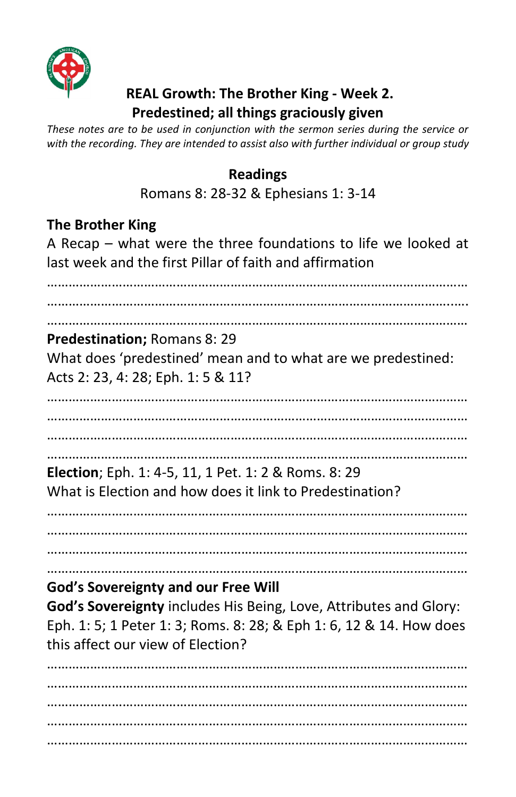

## **REAL Growth: The Brother King - Week 2. Predestined; all things graciously given**

*These notes are to be used in conjunction with the sermon series during the service or with the recording. They are intended to assist also with further individual or group study* 

#### **Readings**

Romans 8: 28-32 & Ephesians 1: 3-14

#### **The Brother King**

A Recap – what were the three foundations to life we looked at last week and the first Pillar of faith and affirmation

……………………………………………………………………………………………………… …………………………………………………………………………………………………..…. **Predestination;** Romans 8: 29 What does 'predestined' mean and to what are we predestined: Acts 2: 23, 4: 28; Eph. 1: 5 & 11? ……………………………………………………………………………………………………… ……………………………………………………………………………………………………… ……………………………………………………………………………………………………… **Election**; Eph. 1: 4-5, 11, 1 Pet. 1: 2 & Roms. 8: 29 What is Election and how does it link to Predestination? ……………………………………………………………………………………………………… ……………………………………………………………………………………………………… ……………………………………………………………………………………………………… ……………………………………………………………………………………………………… **God's Sovereignty and our Free Will God's Sovereignty** includes His Being, Love, Attributes and Glory: Eph. 1: 5; 1 Peter 1: 3; Roms. 8: 28; & Eph 1: 6, 12 & 14. How does this affect our view of Election? ……………………………………………………………………………………………………… ……………………………………………………………………………………………………… ………………………………………………………………………………………………………

………………………………………………………………………………………………………